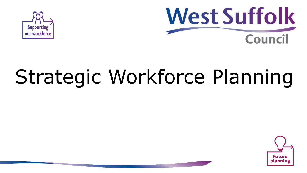



# Strategic Workforce Planning

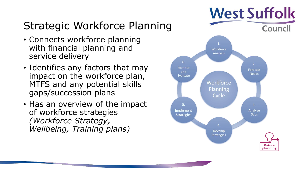# Strategic Workforce Planning

- Connects workforce planning with financial planning and service delivery
- Identifies any factors that may impact on the workforce plan, MTFS and any potential skills gaps/succession plans
- Has an overview of the impact of workforce strategies *(Workforce Strategy, Wellbeing, Training plans)*

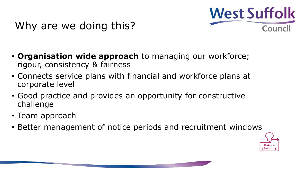

### Why are we doing this?

- **Organisation wide approach** to managing our workforce; rigour, consistency & fairness
- Connects service plans with financial and workforce plans at corporate level
- Good practice and provides an opportunity for constructive challenge
- Team approach
- Better management of notice periods and recruitment windows

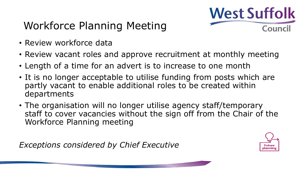

## Workforce Planning Meeting

- Review workforce data
- Review vacant roles and approve recruitment at monthly meeting
- Length of a time for an advert is to increase to one month
- It is no longer acceptable to utilise funding from posts which are partly vacant to enable additional roles to be created within departments
- The organisation will no longer utilise agency staff/temporary staff to cover vacancies without the sign off from the Chair of the Workforce Planning meeting

*Exceptions considered by Chief Executive*

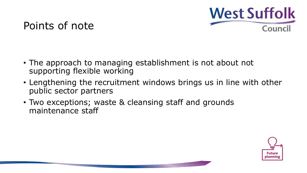

#### Points of note

- The approach to managing establishment is not about not supporting flexible working
- Lengthening the recruitment windows brings us in line with other public sector partners
- Two exceptions; waste & cleansing staff and grounds maintenance staff